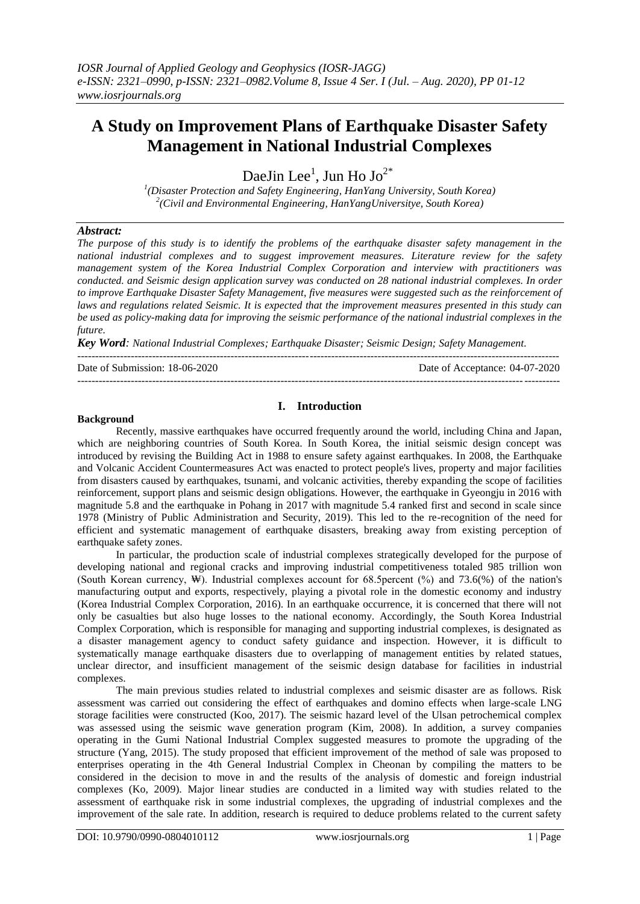# **A Study on Improvement Plans of Earthquake Disaster Safety Management in National Industrial Complexes**

DaeJin Lee<sup>1</sup>, Jun Ho Jo<sup>2\*</sup>

*1 (Disaster Protection and Safety Engineering, HanYang University, South Korea) 2 (Civil and Environmental Engineering, HanYangUniversitye, South Korea)*

### *Abstract:*

*The purpose of this study is to identify the problems of the earthquake disaster safety management in the national industrial complexes and to suggest improvement measures. Literature review for the safety management system of the Korea Industrial Complex Corporation and interview with practitioners was conducted. and Seismic design application survey was conducted on 28 national industrial complexes. In order to improve Earthquake Disaster Safety Management, five measures were suggested such as the reinforcement of laws and regulations related Seismic. It is expected that the improvement measures presented in this study can be used as policy-making data for improving the seismic performance of the national industrial complexes in the future.*

*Key Word: National Industrial Complexes; Earthquake Disaster; Seismic Design; Safety Management.* ---------------------------------------------------------------------------------------------------------------------------------------

Date of Submission: 18-06-2020 Date of Acceptance: 04-07-2020 ---------------------------------------------------------------------------------------------------------------------------------------

# **I. Introduction**

### **Background**

Recently, massive earthquakes have occurred frequently around the world, including China and Japan, which are neighboring countries of South Korea. In South Korea, the initial seismic design concept was introduced by revising the Building Act in 1988 to ensure safety against earthquakes. In 2008, the Earthquake and Volcanic Accident Countermeasures Act was enacted to protect people's lives, property and major facilities from disasters caused by earthquakes, tsunami, and volcanic activities, thereby expanding the scope of facilities reinforcement, support plans and seismic design obligations. However, the earthquake in Gyeongju in 2016 with magnitude 5.8 and the earthquake in Pohang in 2017 with magnitude 5.4 ranked first and second in scale since 1978 (Ministry of Public Administration and Security, 2019). This led to the re-recognition of the need for efficient and systematic management of earthquake disasters, breaking away from existing perception of earthquake safety zones.

In particular, the production scale of industrial complexes strategically developed for the purpose of developing national and regional cracks and improving industrial competitiveness totaled 985 trillion won (South Korean currency, ₩). Industrial complexes account for 68.5percent (%) and 73.6(%) of the nation's manufacturing output and exports, respectively, playing a pivotal role in the domestic economy and industry (Korea Industrial Complex Corporation, 2016). In an earthquake occurrence, it is concerned that there will not only be casualties but also huge losses to the national economy. Accordingly, the South Korea Industrial Complex Corporation, which is responsible for managing and supporting industrial complexes, is designated as a disaster management agency to conduct safety guidance and inspection. However, it is difficult to systematically manage earthquake disasters due to overlapping of management entities by related statues, unclear director, and insufficient management of the seismic design database for facilities in industrial complexes.

The main previous studies related to industrial complexes and seismic disaster are as follows. Risk assessment was carried out considering the effect of earthquakes and domino effects when large-scale LNG storage facilities were constructed (Koo, 2017). The seismic hazard level of the Ulsan petrochemical complex was assessed using the seismic wave generation program (Kim, 2008). In addition, a survey companies operating in the Gumi National Industrial Complex suggested measures to promote the upgrading of the structure (Yang, 2015). The study proposed that efficient improvement of the method of sale was proposed to enterprises operating in the 4th General Industrial Complex in Cheonan by compiling the matters to be considered in the decision to move in and the results of the analysis of domestic and foreign industrial complexes (Ko, 2009). Major linear studies are conducted in a limited way with studies related to the assessment of earthquake risk in some industrial complexes, the upgrading of industrial complexes and the improvement of the sale rate. In addition, research is required to deduce problems related to the current safety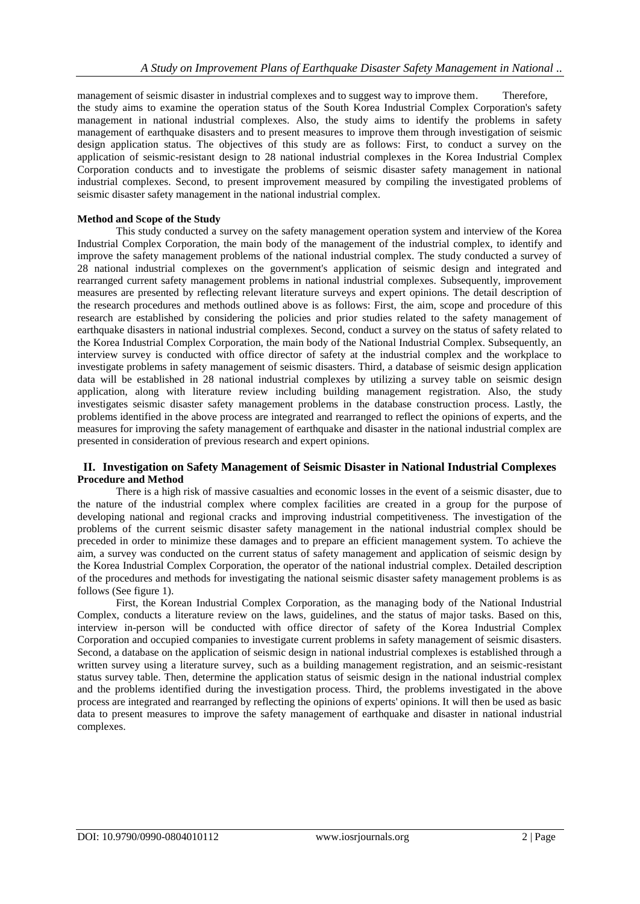management of seismic disaster in industrial complexes and to suggest way to improve them. Therefore, the study aims to examine the operation status of the South Korea Industrial Complex Corporation's safety management in national industrial complexes. Also, the study aims to identify the problems in safety management of earthquake disasters and to present measures to improve them through investigation of seismic design application status. The objectives of this study are as follows: First, to conduct a survey on the application of seismic-resistant design to 28 national industrial complexes in the Korea Industrial Complex Corporation conducts and to investigate the problems of seismic disaster safety management in national industrial complexes. Second, to present improvement measured by compiling the investigated problems of seismic disaster safety management in the national industrial complex.

### **Method and Scope of the Study**

This study conducted a survey on the safety management operation system and interview of the Korea Industrial Complex Corporation, the main body of the management of the industrial complex, to identify and improve the safety management problems of the national industrial complex. The study conducted a survey of 28 national industrial complexes on the government's application of seismic design and integrated and rearranged current safety management problems in national industrial complexes. Subsequently, improvement measures are presented by reflecting relevant literature surveys and expert opinions. The detail description of the research procedures and methods outlined above is as follows: First, the aim, scope and procedure of this research are established by considering the policies and prior studies related to the safety management of earthquake disasters in national industrial complexes. Second, conduct a survey on the status of safety related to the Korea Industrial Complex Corporation, the main body of the National Industrial Complex. Subsequently, an interview survey is conducted with office director of safety at the industrial complex and the workplace to investigate problems in safety management of seismic disasters. Third, a database of seismic design application data will be established in 28 national industrial complexes by utilizing a survey table on seismic design application, along with literature review including building management registration. Also, the study investigates seismic disaster safety management problems in the database construction process. Lastly, the problems identified in the above process are integrated and rearranged to reflect the opinions of experts, and the measures for improving the safety management of earthquake and disaster in the national industrial complex are presented in consideration of previous research and expert opinions.

### **II. Investigation on Safety Management of Seismic Disaster in National Industrial Complexes Procedure and Method**

There is a high risk of massive casualties and economic losses in the event of a seismic disaster, due to the nature of the industrial complex where complex facilities are created in a group for the purpose of developing national and regional cracks and improving industrial competitiveness. The investigation of the problems of the current seismic disaster safety management in the national industrial complex should be preceded in order to minimize these damages and to prepare an efficient management system. To achieve the aim, a survey was conducted on the current status of safety management and application of seismic design by the Korea Industrial Complex Corporation, the operator of the national industrial complex. Detailed description of the procedures and methods for investigating the national seismic disaster safety management problems is as follows (See figure 1).

First, the Korean Industrial Complex Corporation, as the managing body of the National Industrial Complex, conducts a literature review on the laws, guidelines, and the status of major tasks. Based on this, interview in-person will be conducted with office director of safety of the Korea Industrial Complex Corporation and occupied companies to investigate current problems in safety management of seismic disasters. Second, a database on the application of seismic design in national industrial complexes is established through a written survey using a literature survey, such as a building management registration, and an seismic-resistant status survey table. Then, determine the application status of seismic design in the national industrial complex and the problems identified during the investigation process. Third, the problems investigated in the above process are integrated and rearranged by reflecting the opinions of experts' opinions. It will then be used as basic data to present measures to improve the safety management of earthquake and disaster in national industrial complexes.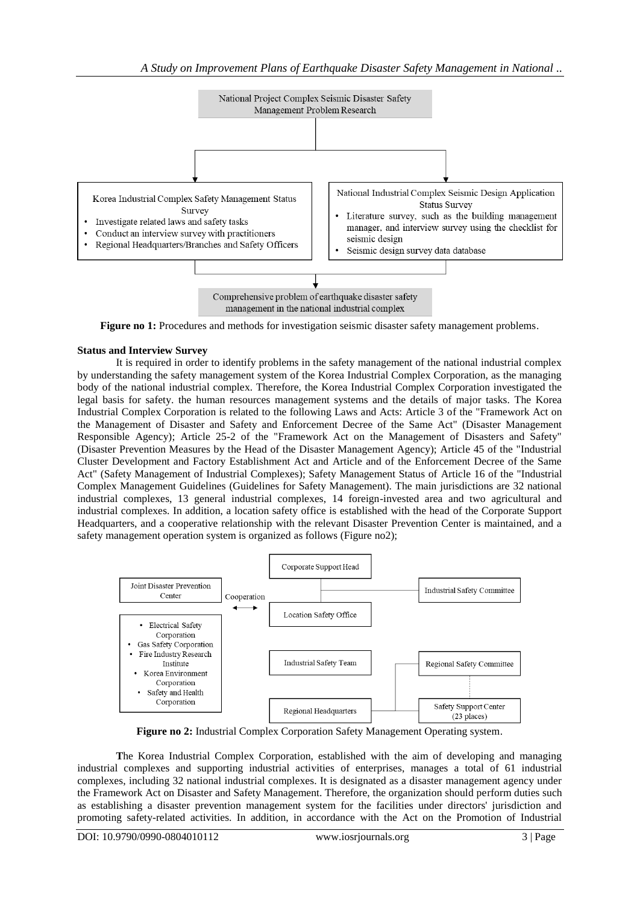

**Figure no 1:** Procedures and methods for investigation seismic disaster safety management problems.

# **Status and Interview Survey**

It is required in order to identify problems in the safety management of the national industrial complex by understanding the safety management system of the Korea Industrial Complex Corporation, as the managing body of the national industrial complex. Therefore, the Korea Industrial Complex Corporation investigated the legal basis for safety. the human resources management systems and the details of major tasks. The Korea Industrial Complex Corporation is related to the following Laws and Acts: Article 3 of the "Framework Act on the Management of Disaster and Safety and Enforcement Decree of the Same Act" (Disaster Management Responsible Agency); Article 25-2 of the "Framework Act on the Management of Disasters and Safety" (Disaster Prevention Measures by the Head of the Disaster Management Agency); Article 45 of the "Industrial Cluster Development and Factory Establishment Act and Article and of the Enforcement Decree of the Same Act" (Safety Management of Industrial Complexes); Safety Management Status of Article 16 of the "Industrial Complex Management Guidelines (Guidelines for Safety Management). The main jurisdictions are 32 national industrial complexes, 13 general industrial complexes, 14 foreign-invested area and two agricultural and industrial complexes. In addition, a location safety office is established with the head of the Corporate Support Headquarters, and a cooperative relationship with the relevant Disaster Prevention Center is maintained, and a safety management operation system is organized as follows (Figure no2);



**Figure no 2:** Industrial Complex Corporation Safety Management Operating system.

**T**he Korea Industrial Complex Corporation, established with the aim of developing and managing industrial complexes and supporting industrial activities of enterprises, manages a total of 61 industrial complexes, including 32 national industrial complexes. It is designated as a disaster management agency under the Framework Act on Disaster and Safety Management. Therefore, the organization should perform duties such as establishing a disaster prevention management system for the facilities under directors' jurisdiction and promoting safety-related activities. In addition, in accordance with the Act on the Promotion of Industrial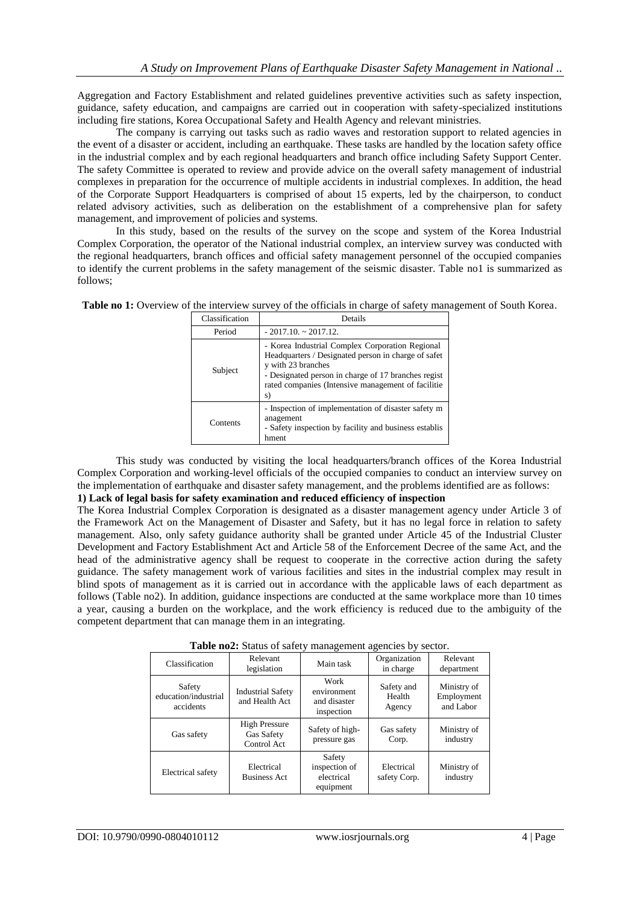Aggregation and Factory Establishment and related guidelines preventive activities such as safety inspection, guidance, safety education, and campaigns are carried out in cooperation with safety-specialized institutions including fire stations, Korea Occupational Safety and Health Agency and relevant ministries.

The company is carrying out tasks such as radio waves and restoration support to related agencies in the event of a disaster or accident, including an earthquake. These tasks are handled by the location safety office in the industrial complex and by each regional headquarters and branch office including Safety Support Center. The safety Committee is operated to review and provide advice on the overall safety management of industrial complexes in preparation for the occurrence of multiple accidents in industrial complexes. In addition, the head of the Corporate Support Headquarters is comprised of about 15 experts, led by the chairperson, to conduct related advisory activities, such as deliberation on the establishment of a comprehensive plan for safety management, and improvement of policies and systems.

In this study, based on the results of the survey on the scope and system of the Korea Industrial Complex Corporation, the operator of the National industrial complex, an interview survey was conducted with the regional headquarters, branch offices and official safety management personnel of the occupied companies to identify the current problems in the safety management of the seismic disaster. Table no1 is summarized as follows;

| Classification | Details                                                                                                                                                                                                                                         |
|----------------|-------------------------------------------------------------------------------------------------------------------------------------------------------------------------------------------------------------------------------------------------|
| Period         | $-2017.10 \approx 2017.12$ .                                                                                                                                                                                                                    |
| Subject        | - Korea Industrial Complex Corporation Regional<br>Headquarters / Designated person in charge of safet<br>y with 23 branches<br>- Designated person in charge of 17 branches regist<br>rated companies (Intensive management of facilitie<br>s) |
| Contents       | - Inspection of implementation of disaster safety m<br>anagement<br>- Safety inspection by facility and business establis<br>hment                                                                                                              |

Table no 1: Overview of the interview survey of the officials in charge of safety management of South Korea.

This study was conducted by visiting the local headquarters/branch offices of the Korea Industrial Complex Corporation and working-level officials of the occupied companies to conduct an interview survey on the implementation of earthquake and disaster safety management, and the problems identified are as follows:

# **1) Lack of legal basis for safety examination and reduced efficiency of inspection**

The Korea Industrial Complex Corporation is designated as a disaster management agency under Article 3 of the Framework Act on the Management of Disaster and Safety, but it has no legal force in relation to safety management. Also, only safety guidance authority shall be granted under Article 45 of the Industrial Cluster Development and Factory Establishment Act and Article 58 of the Enforcement Decree of the same Act, and the head of the administrative agency shall be request to cooperate in the corrective action during the safety guidance. The safety management work of various facilities and sites in the industrial complex may result in blind spots of management as it is carried out in accordance with the applicable laws of each department as follows (Table no2). In addition, guidance inspections are conducted at the same workplace more than 10 times a year, causing a burden on the workplace, and the work efficiency is reduced due to the ambiguity of the competent department that can manage them in an integrating.

| $\frac{1}{2}$<br>$m_{\rm s}$ and $m_{\rm s}$ or $m_{\rm s}$ |                                                   |                                                    |                                |                                        |  |  |  |  |  |  |
|-------------------------------------------------------------|---------------------------------------------------|----------------------------------------------------|--------------------------------|----------------------------------------|--|--|--|--|--|--|
| Classification                                              | Relevant<br>legislation                           | Main task                                          | Organization<br>in charge      | Relevant<br>department                 |  |  |  |  |  |  |
| Safety<br>education/industrial<br>accidents                 | <b>Industrial Safety</b><br>and Health Act        | Work<br>environment<br>and disaster<br>inspection  | Safety and<br>Health<br>Agency | Ministry of<br>Employment<br>and Labor |  |  |  |  |  |  |
| Gas safety                                                  | <b>High Pressure</b><br>Gas Safety<br>Control Act | Safety of high-<br>pressure gas                    | Gas safety<br>Corp.            | Ministry of<br>industry                |  |  |  |  |  |  |
| <b>Electrical</b> safety                                    | Electrical<br><b>Business Act</b>                 | Safety<br>inspection of<br>electrical<br>equipment | Electrical<br>safety Corp.     | Ministry of<br>industry                |  |  |  |  |  |  |

**Table no2:** Status of safety management agencies by sector.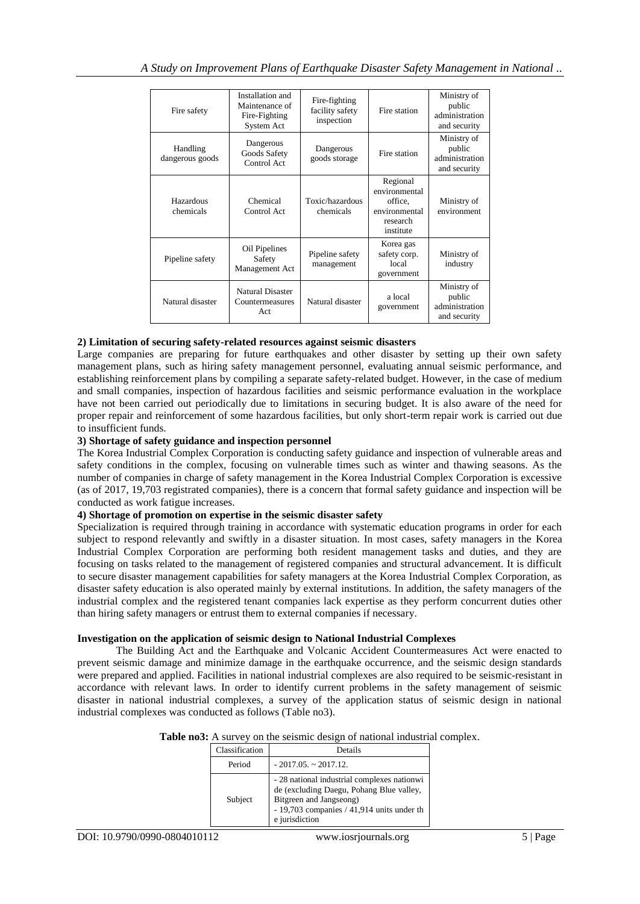| Fire safety                 | Installation and<br>Maintenance of<br>Fire-Fighting<br>System Act | Fire-fighting<br>facility safety<br>inspection | Fire station                                                                   | Ministry of<br>public<br>administration<br>and security |
|-----------------------------|-------------------------------------------------------------------|------------------------------------------------|--------------------------------------------------------------------------------|---------------------------------------------------------|
| Handling<br>dangerous goods | Dangerous<br>Goods Safety<br>Control Act                          | Dangerous<br>goods storage                     | Fire station                                                                   | Ministry of<br>public<br>administration<br>and security |
| Hazardous<br>chemicals      | Chemical<br>Control Act                                           | Toxic/hazardous<br>chemicals                   | Regional<br>environmental<br>office.<br>environmental<br>research<br>institute | Ministry of<br>environment                              |
| Pipeline safety             | Oil Pipelines<br>Safety<br>Management Act                         | Pipeline safety<br>management                  | Korea gas<br>safety corp.<br>local<br>government                               | Ministry of<br>industry                                 |
| Natural disaster            | <b>Natural Disaster</b><br>Countermeasures<br>Act                 | Natural disaster                               | a local<br>government                                                          | Ministry of<br>public<br>administration<br>and security |

# **2) Limitation of securing safety-related resources against seismic disasters**

Large companies are preparing for future earthquakes and other disaster by setting up their own safety management plans, such as hiring safety management personnel, evaluating annual seismic performance, and establishing reinforcement plans by compiling a separate safety-related budget. However, in the case of medium and small companies, inspection of hazardous facilities and seismic performance evaluation in the workplace have not been carried out periodically due to limitations in securing budget. It is also aware of the need for proper repair and reinforcement of some hazardous facilities, but only short-term repair work is carried out due to insufficient funds.

# **3) Shortage of safety guidance and inspection personnel**

The Korea Industrial Complex Corporation is conducting safety guidance and inspection of vulnerable areas and safety conditions in the complex, focusing on vulnerable times such as winter and thawing seasons. As the number of companies in charge of safety management in the Korea Industrial Complex Corporation is excessive (as of 2017, 19,703 registrated companies), there is a concern that formal safety guidance and inspection will be conducted as work fatigue increases.

# **4) Shortage of promotion on expertise in the seismic disaster safety**

Specialization is required through training in accordance with systematic education programs in order for each subject to respond relevantly and swiftly in a disaster situation. In most cases, safety managers in the Korea Industrial Complex Corporation are performing both resident management tasks and duties, and they are focusing on tasks related to the management of registered companies and structural advancement. It is difficult to secure disaster management capabilities for safety managers at the Korea Industrial Complex Corporation, as disaster safety education is also operated mainly by external institutions. In addition, the safety managers of the industrial complex and the registered tenant companies lack expertise as they perform concurrent duties other than hiring safety managers or entrust them to external companies if necessary.

# **Investigation on the application of seismic design to National Industrial Complexes**

The Building Act and the Earthquake and Volcanic Accident Countermeasures Act were enacted to prevent seismic damage and minimize damage in the earthquake occurrence, and the seismic design standards were prepared and applied. Facilities in national industrial complexes are also required to be seismic-resistant in accordance with relevant laws. In order to identify current problems in the safety management of seismic disaster in national industrial complexes, a survey of the application status of seismic design in national industrial complexes was conducted as follows (Table no3).

# **Table no3:** A survey on the seismic design of national industrial complex.

| Classification | Details                                                                                                                                                                              |
|----------------|--------------------------------------------------------------------------------------------------------------------------------------------------------------------------------------|
| Period         | $-2017.05. \sim 2017.12.$                                                                                                                                                            |
| Subject        | - 28 national industrial complexes nationwi<br>de (excluding Daegu, Pohang Blue valley,<br>Bitgreen and Jangseong)<br>- 19,703 companies $/$ 41,914 units under th<br>e jurisdiction |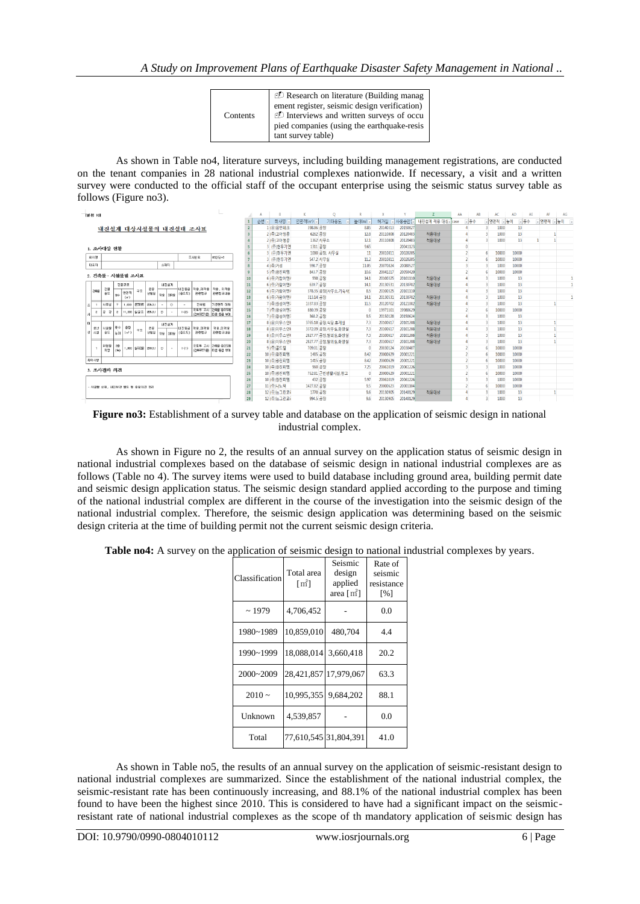| Contents | <b><i>D</i></b> Research on literature (Building manage<br>ement register, seismic design verification)<br>Interviews and written surveys of occu<br>pied companies (using the earthquake-resis<br>tant survey table) |
|----------|-----------------------------------------------------------------------------------------------------------------------------------------------------------------------------------------------------------------------|
|----------|-----------------------------------------------------------------------------------------------------------------------------------------------------------------------------------------------------------------------|

As shown in Table no4, literature surveys, including building management registrations, are conducted on the tenant companies in 28 national industrial complexes nationwide. If necessary, a visit and a written survey were conducted to the official staff of the occupant enterprise using the seismic status survey table as follows (Figure no3).

|     | [별형 10]    |                             |                           |                        |                    |                                  |         |         |             |                      |                    |     |          |            |            | $\circ$            |       |          |          |            | AA       | AB   | AC    | <b>AD</b> | AE   | AF    |     | AG                       |
|-----|------------|-----------------------------|---------------------------|------------------------|--------------------|----------------------------------|---------|---------|-------------|----------------------|--------------------|-----|----------|------------|------------|--------------------|-------|----------|----------|------------|----------|------|-------|-----------|------|-------|-----|--------------------------|
|     |            |                             |                           |                        |                    |                                  |         |         |             |                      |                    |     | 순변 다     | 회사명        | 연면적(m) -   | 기타용도               | 높이(m) | 허가일      | 사용승인     | 내진설계 적용 대상 | Icase    | - 중수 | - 연면적 | □높이       | - 중수 | - 연면적 | 되높이 | $\overline{\phantom{a}}$ |
|     |            |                             |                           |                        |                    |                                  |         |         |             | 내진설계 대상시설물의 내진실태 조사표 |                    |     |          | (유)유민테크    | 398.86 공장  |                    | 8.89  | 20140313 | 2015082  |            |          |      | 1000  | 13        |      |       |     |                          |
|     |            |                             |                           |                        |                    |                                  |         |         |             |                      |                    |     |          | 2 (주)고아정공  | 6262 공장    |                    | 12.8  | 20110808 | 20120403 | 적용대상       |          |      | 1000  | 13        |      |       |     |                          |
|     |            |                             |                           |                        |                    |                                  |         |         |             |                      |                    |     |          | 2 (주)고아정공  |            | 1362 사무소           | 12.1  | 20110808 | 20120403 | 적용대상       | 4        |      | 1000  | 13        |      |       |     |                          |
|     |            | 1. 조사대상 현황                  |                           |                        |                    |                                  |         |         |             |                      |                    |     |          | 3 (주)현우기연  | 1311 공장    |                    | 9.65  |          | 20041123 |            | $\theta$ |      |       |           |      |       |     |                          |
|     |            |                             |                           |                        |                    |                                  |         |         |             |                      |                    |     |          | 3 (주)현우기연  |            | 1080 공장, 사무실       | T     | 20010811 | 20020205 |            |          |      | 10000 | 10000     |      |       |     |                          |
|     | 회사명        |                             |                           |                        |                    |                                  |         |         |             | 조사변호                 | 00산단-0             |     |          | 3 (주) 현우기연 |            | 547.2 사무실          | 11.2  | 20010811 | 20020205 |            |          |      | 10000 | 10000     |      |       |     |                          |
|     | 日益자        |                             |                           |                        |                    |                                  |         | 公理局     |             |                      |                    |     |          | 4 (주)거성    | 598.7 공장   |                    | 11.05 | 20070824 | 20080527 |            |          |      | 1000  | 10000     |      |       |     |                          |
|     |            | 2. 건축물 · 시설물별 조사표           |                           |                        |                    |                                  |         |         |             |                      |                    |     |          | 5 (주)광진피염  | 843.7 공장   |                    | 10.6  | 20041217 | 20050420 |            |          |      | 10000 | 10000     |      |       |     |                          |
|     |            |                             |                           |                        |                    |                                  |         |         |             |                      |                    |     |          | 6 (주)가랑이앤  |            | 998 공장             | 14.1  | 20100325 | 20101110 | 적용대상       |          |      | 1000  | 13        |      |       |     |                          |
|     |            |                             | 건물규모                      |                        |                    |                                  |         | 내진설계    |             |                      |                    | 11  |          | 6 (주)가람이엔  | 639.7 공장   |                    | 14.1  | 20130531 | 20130702 | 적용대상       |          |      | 1000  | 13        |      |       |     |                          |
|     | 298        | 건물<br>용도                    |                           | 연면적                    | 구조                 | 준공<br>Fas,   <sup>da</sup>   Das |         |         | (중요도)       | 배진동급  적용 미적용<br>관련법규 | 적용, 미적용<br>관련법규내용  | 12  |          | 6 (주)가람이앤/ |            | 378.35 공장(사무소,기숙사) | 8.5   | 20100325 | 20101110 |            |          |      | 1000  | 13        |      |       |     |                          |
|     |            |                             | 94                        | (m <sup>2</sup> )      |                    |                                  |         |         |             |                      |                    | 13  |          | 6 (주)가람이앤/ | 313.14 공장  |                    | 14.1  | 20130531 | 20130702 | 적용대상       |          |      | 1000  | 13        |      |       |     |                          |
| 墨   |            | 사무실                         |                           | 1,000                  | <b>JEEP AT</b>     | ZIB.3.1                          |         | $\circ$ |             | 건축법                  | 기준면적 이하            | 14  |          | 7 (주)광성이연기 | 1337.83 공장 |                    | 11.5  | 20120702 | 20121002 | 적용대상       |          |      | 1000  | 13        |      |       |     |                          |
|     |            | $\frac{1}{2}$ $\frac{1}{2}$ |                           |                        | 11,000 일골조 205,3,1 |                                  | $\circ$ | $\sim$  | (2)         |                      | 국토부 고시 간축물 중요도에    | 15  |          | 7 (주)광성이엔; | 880.39 공장  |                    |       | 19971101 | 19980629 |            |          |      | 10000 | 10000     |      |       |     |                          |
| JJ. |            |                             |                           |                        |                    |                                  |         |         |             |                      | (간축구조기준) 때 본 등급 부여 | 16  |          | 7 (주)광성이엔; | 368.2 공장   |                    | 9.5   | 20150128 | 20150624 |            |          |      | 1000  | 13        |      |       |     |                          |
| ıсı |            |                             |                           |                        |                    |                                  |         | 내진설계    |             |                      |                    | 17  |          | 8 (유)이우스인! |            | 3765.18 공장,식당,휴게실  | 7.3   | 20100617 | 20101208 | 적용대상       |          |      | 1000  | 13        |      |       |     |                          |
|     | 생산<br>상 시설 | 시설물<br>음도                   | <b>유수</b><br>$\approx 01$ | 용량<br>$(\mathfrak{m})$ | 구조                 | 준공                               |         |         | (愛容도)       | 용의미, 용의 등공편비<br>관련법규 | 적용 미적용<br>관련법규내용   | 18  |          | 8 (유)이우스인! |            | 3372.09 공장,사무실,화장실 | 73    | 20100617 | 20101208 | 적용대상       |          |      | 1000  | 13        |      |       |     |                          |
|     |            |                             |                           |                        |                    | 년혈일   적용   미적용                   |         |         |             |                      |                    | 19  |          | 8 (유)이우스인! |            | 2827.77 공장,탈의실,화장실 | 7.3   | 20100617 | 20101208 | 적용대상       |          |      | 1000  | 13        |      |       |     |                          |
|     |            |                             |                           |                        |                    |                                  |         |         |             |                      | 공토부 고시 경영을 줄요도에    | 20  |          | 8 (유)이우스인! |            | 2827.77 공장,탈의실,화장실 | 7.3   | 20100617 | 20101208 | 적용대상       |          |      | 1000  | 13        |      |       |     |                          |
|     |            | 위원물<br>저장                   | 20<br>(Sei                |                        |                    | 1.000 불구조물   2003.1   ロ          |         | $\sim$  | (1)         |                      | (건축구조기준) 때문 등급 부여  | 21  |          | 9 (주)골드텔   | 709.01 공장  |                    |       | 20030124 | 20030407 |            |          |      | 10000 | 10000     |      |       |     |                          |
|     |            |                             |                           |                        |                    |                                  |         |         |             |                      |                    | 22  |          | 10 (주)광진피엠 | 1485 공장    |                    | 8.42  | 20000629 | 20001221 |            |          |      | 10000 | 10000     |      |       |     |                          |
|     | 특이시합       |                             |                           |                        |                    |                                  |         |         |             |                      |                    | 23  |          | 10 (주)광진피염 | 1415 공장    |                    | 8.42  | 20000629 | 20001221 |            |          |      | 10000 | 10000     |      |       |     |                          |
|     |            | 3. 조사결과 의견                  |                           |                        |                    |                                  |         |         |             |                      |                    | 24  |          | 10 (주)광진피엠 |            | 960 공장             | 7.25  | 20061019 | 20061226 |            |          |      | 1000  | 10000     |      |       |     |                          |
|     |            |                             |                           |                        |                    |                                  |         |         |             |                      |                    |     |          | 10 (주)광진피엠 |            | 752.81 근린생활시설,창고   |       | 20000629 | 20001221 |            |          |      | 10000 | 10000     |      |       |     |                          |
|     |            |                             |                           |                        |                    |                                  |         |         |             |                      |                    | 26  |          | 10 (주)광진피엠 |            | 432 공장             | 5.97  | 20061019 | 20061226 |            |          |      | 1000  | 10000     |      |       |     |                          |
|     |            | - 시설물 상태, 내진보강 필요 등 총괄의견 정리 |                           |                        |                    |                                  |         |         |             |                      |                    | 27  |          | 11 (주)나노팩  | 1427.82 공장 |                    | 9.5   | 20000623 | 20001104 |            |          |      | 10000 | 10000     |      |       |     |                          |
|     |            |                             |                           |                        |                    |                                  |         |         |             |                      |                    | 28  |          | 12 (주)뉴그린코 | 1770 공장    |                    | 9.6   | 20130905 | 20140129 | 적용대상       |          |      | 1000  | 13        |      |       |     |                          |
|     |            |                             |                           |                        |                    |                                  | 29      |         | 12 (주)뉴그린코i | 994.5 공장             |                    | 9.6 | 20130905 | 20140129   |            |                    |       | 1000     | 13       |            |          |      |       |           |      |       |     |                          |

**Figure no3:** Establishment of a survey table and database on the application of seismic design in national industrial complex.

As shown in Figure no 2, the results of an annual survey on the application status of seismic design in national industrial complexes based on the database of seismic design in national industrial complexes are as follows (Table no 4). The survey items were used to build database including ground area, building permit date and seismic design application status. The seismic design standard applied according to the purpose and timing of the national industrial complex are different in the course of the investigation into the seismic design of the national industrial complex. Therefore, the seismic design application was determining based on the seismic design criteria at the time of building permit not the current seismic design criteria.

**Table no4:** A survey on the application of seismic design to national industrial complexes by years.

| Classification | Total area<br>$\lceil m^2 \rceil$ | Seismic<br>design<br>applied<br>area [ m 1 | Rate of<br>seismic<br>resistance<br>$\lceil \% \rceil$ |  |  |  |
|----------------|-----------------------------------|--------------------------------------------|--------------------------------------------------------|--|--|--|
| ~1979          | 4.706.452                         |                                            | 0.0                                                    |  |  |  |
| 1980~1989      | 10,859,010                        | 480,704                                    | 4.4                                                    |  |  |  |
| 1990~1999      | 18,088,014                        | 3,660,418                                  | 20.2                                                   |  |  |  |
| $2000 - 2009$  |                                   | 28,421,857 17,979,067                      | 63.3                                                   |  |  |  |
| $2010 -$       | 10.995.355 9.684.202              |                                            | 88.1                                                   |  |  |  |
| Unknown        | 4,539,857                         |                                            | 0.0                                                    |  |  |  |
| Total          | 77,610,545 31,804,391             |                                            | 41.0                                                   |  |  |  |

As shown in Table no5, the results of an annual survey on the application of seismic-resistant design to national industrial complexes are summarized. Since the establishment of the national industrial complex, the seismic-resistant rate has been continuously increasing, and 88.1% of the national industrial complex has been found to have been the highest since 2010. This is considered to have had a significant impact on the seismicresistant rate of national industrial complexes as the scope of th mandatory application of seismic design has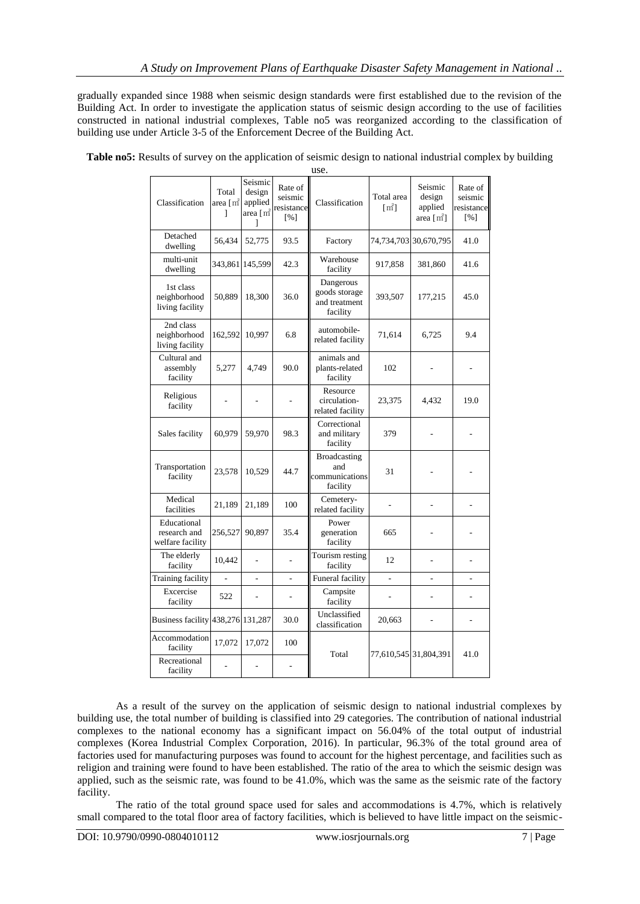gradually expanded since 1988 when seismic design standards were first established due to the revision of the Building Act. In order to investigate the application status of seismic design according to the use of facilities constructed in national industrial complexes, Table no5 was reorganized according to the classification of building use under Article 3-5 of the Enforcement Decree of the Building Act.

|                                                 |                                            |                                                |                                         | use.                                                     |                       |                                                         |                                         |
|-------------------------------------------------|--------------------------------------------|------------------------------------------------|-----------------------------------------|----------------------------------------------------------|-----------------------|---------------------------------------------------------|-----------------------------------------|
| Classification                                  | Total<br>area $[\, \mathrm{m}^{\! 2}$<br>1 | Seismic<br>design<br>applied<br>area [m2]<br>1 | Rate of<br>seismic<br>resistance<br>[%] | Classification                                           | Total area<br>$[m^2]$ | Seismic<br>design<br>applied<br>area $[\,\mathrm{m}^2]$ | Rate of<br>seismic<br>resistance<br>[%] |
| Detached<br>dwelling                            | 56,434                                     | 52,775                                         | 93.5                                    | Factory                                                  |                       | 74,734,703 30,670,795                                   | 41.0                                    |
| multi-unit<br>dwelling                          | 343,861                                    | 145,599                                        | 42.3                                    | Warehouse<br>facility                                    | 917,858               | 381,860                                                 | 41.6                                    |
| 1st class<br>neighborhood<br>living facility    | 50,889                                     | 18,300                                         | 36.0                                    | Dangerous<br>goods storage<br>and treatment<br>facility  | 393,507               | 177,215                                                 | 45.0                                    |
| 2nd class<br>neighborhood<br>living facility    | 162,592                                    | 10,997                                         | 6.8                                     | automobile-<br>related facility                          | 71,614                | 6,725                                                   | 9.4                                     |
| Cultural and<br>assembly<br>facility            | 5,277                                      | 4,749                                          | 90.0                                    | animals and<br>plants-related<br>facility                | 102                   | ٠                                                       |                                         |
| Religious<br>facility                           |                                            |                                                |                                         | Resource<br>circulation-<br>related facility             | 23,375                | 4.432                                                   | 19.0                                    |
| Sales facility                                  | 60,979                                     | 59,970                                         | 98.3                                    | Correctional<br>and military<br>facility                 | 379                   |                                                         |                                         |
| Transportation<br>facility                      | 23,578                                     | 10,529                                         | 44.7                                    | <b>Broadcasting</b><br>and<br>communications<br>facility | 31                    |                                                         |                                         |
| Medical<br>facilities                           | 21,189                                     | 21,189                                         | 100                                     | Cemetery-<br>related facility                            |                       |                                                         |                                         |
| Educational<br>research and<br>welfare facility | 256,527                                    | 90.897                                         | 35.4                                    | Power<br>generation<br>facility                          | 665                   |                                                         |                                         |
| The elderly<br>facility                         | 10,442                                     | $\overline{a}$                                 | $\overline{a}$                          | Tourism resting<br>facility                              | 12                    | ä,                                                      | ٠                                       |
| Training facility                               | $\overline{a}$                             | $\overline{a}$                                 | ÷,                                      | Funeral facility                                         | $\overline{a}$        | $\overline{a}$                                          |                                         |
| Excercise<br>facility                           | 522                                        | $\overline{a}$                                 |                                         | Campsite<br>facility                                     |                       |                                                         |                                         |
| Business facility 438,276 131,287               |                                            |                                                | 30.0                                    | Unclassified<br>classification                           | 20,663                |                                                         | L,                                      |
| Accommodation<br>facility                       | 17,072                                     | 17,072                                         | 100                                     | Total                                                    | 77,610,545 31,804,391 |                                                         | 41.0                                    |
| Recreational<br>facility                        |                                            |                                                | $\overline{a}$                          |                                                          |                       |                                                         |                                         |

**Table no5:** Results of survey on the application of seismic design to national industrial complex by building

As a result of the survey on the application of seismic design to national industrial complexes by building use, the total number of building is classified into 29 categories. The contribution of national industrial complexes to the national economy has a significant impact on 56.04% of the total output of industrial complexes (Korea Industrial Complex Corporation, 2016). In particular, 96.3% of the total ground area of factories used for manufacturing purposes was found to account for the highest percentage, and facilities such as religion and training were found to have been established. The ratio of the area to which the seismic design was applied, such as the seismic rate, was found to be 41.0%, which was the same as the seismic rate of the factory facility.

The ratio of the total ground space used for sales and accommodations is 4.7%, which is relatively small compared to the total floor area of factory facilities, which is believed to have little impact on the seismic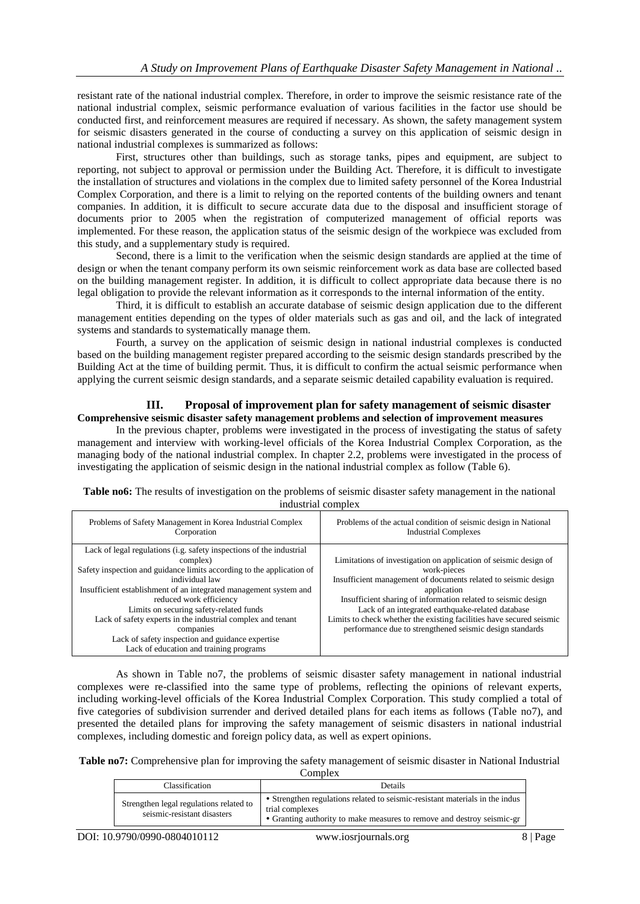resistant rate of the national industrial complex. Therefore, in order to improve the seismic resistance rate of the national industrial complex, seismic performance evaluation of various facilities in the factor use should be conducted first, and reinforcement measures are required if necessary. As shown, the safety management system for seismic disasters generated in the course of conducting a survey on this application of seismic design in national industrial complexes is summarized as follows:

First, structures other than buildings, such as storage tanks, pipes and equipment, are subject to reporting, not subject to approval or permission under the Building Act. Therefore, it is difficult to investigate the installation of structures and violations in the complex due to limited safety personnel of the Korea Industrial Complex Corporation, and there is a limit to relying on the reported contents of the building owners and tenant companies. In addition, it is difficult to secure accurate data due to the disposal and insufficient storage of documents prior to 2005 when the registration of computerized management of official reports was implemented. For these reason, the application status of the seismic design of the workpiece was excluded from this study, and a supplementary study is required.

Second, there is a limit to the verification when the seismic design standards are applied at the time of design or when the tenant company perform its own seismic reinforcement work as data base are collected based on the building management register. In addition, it is difficult to collect appropriate data because there is no legal obligation to provide the relevant information as it corresponds to the internal information of the entity.

Third, it is difficult to establish an accurate database of seismic design application due to the different management entities depending on the types of older materials such as gas and oil, and the lack of integrated systems and standards to systematically manage them.

Fourth, a survey on the application of seismic design in national industrial complexes is conducted based on the building management register prepared according to the seismic design standards prescribed by the Building Act at the time of building permit. Thus, it is difficult to confirm the actual seismic performance when applying the current seismic design standards, and a separate seismic detailed capability evaluation is required.

# **III. Proposal of improvement plan for safety management of seismic disaster Comprehensive seismic disaster safety management problems and selection of improvement measures**

In the previous chapter, problems were investigated in the process of investigating the status of safety management and interview with working-level officials of the Korea Industrial Complex Corporation, as the managing body of the national industrial complex. In chapter 2.2, problems were investigated in the process of investigating the application of seismic design in the national industrial complex as follow (Table 6).

| Problems of Safety Management in Korea Industrial Complex                                                                                                                                                                                                                                                                                                                                                                                                                                         | Problems of the actual condition of seismic design in National                                                                                                                                                                                                                                                                                                                                                             |
|---------------------------------------------------------------------------------------------------------------------------------------------------------------------------------------------------------------------------------------------------------------------------------------------------------------------------------------------------------------------------------------------------------------------------------------------------------------------------------------------------|----------------------------------------------------------------------------------------------------------------------------------------------------------------------------------------------------------------------------------------------------------------------------------------------------------------------------------------------------------------------------------------------------------------------------|
| Corporation                                                                                                                                                                                                                                                                                                                                                                                                                                                                                       | <b>Industrial Complexes</b>                                                                                                                                                                                                                                                                                                                                                                                                |
| Lack of legal regulations (i.g. safety inspections of the industrial<br>complex)<br>Safety inspection and guidance limits according to the application of<br>individual law<br>Insufficient establishment of an integrated management system and<br>reduced work efficiency<br>Limits on securing safety-related funds<br>Lack of safety experts in the industrial complex and tenant<br>companies<br>Lack of safety inspection and guidance expertise<br>Lack of education and training programs | Limitations of investigation on application of seismic design of<br>work-pieces<br>Insufficient management of documents related to seismic design<br>application<br>Insufficient sharing of information related to seismic design<br>Lack of an integrated earthquake-related database<br>Limits to check whether the existing facilities have secured seismic<br>performance due to strengthened seismic design standards |

**Table no6:** The results of investigation on the problems of seismic disaster safety management in the national industrial complex

As shown in Table no7, the problems of seismic disaster safety management in national industrial complexes were re-classified into the same type of problems, reflecting the opinions of relevant experts, including working-level officials of the Korea Industrial Complex Corporation. This study complied a total of five categories of subdivision surrender and derived detailed plans for each items as follows (Table no7), and presented the detailed plans for improving the safety management of seismic disasters in national industrial complexes, including domestic and foreign policy data, as well as expert opinions.

**Table no7:** Comprehensive plan for improving the safety management of seismic disaster in National Industrial

Complex Classification Details Strengthen legal regulations related to seismic-resistant disasters Strengthen regulations related to seismic-resistant materials in the indus trial complexes Granting authority to make measures to remove and destroy seismic-gr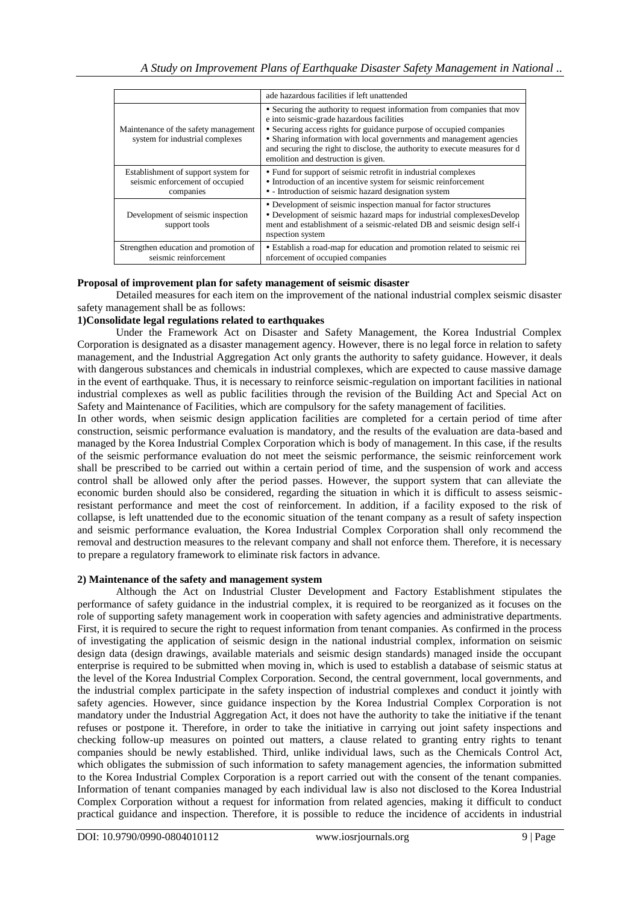|                                                                                     | ade hazardous facilities if left unattended                                                                                                                                                                                                                                                                                                                                               |
|-------------------------------------------------------------------------------------|-------------------------------------------------------------------------------------------------------------------------------------------------------------------------------------------------------------------------------------------------------------------------------------------------------------------------------------------------------------------------------------------|
| Maintenance of the safety management<br>system for industrial complexes             | • Securing the authority to request information from companies that mov<br>e into seismic-grade hazardous facilities<br>• Securing access rights for guidance purpose of occupied companies<br>• Sharing information with local governments and management agencies<br>and securing the right to disclose, the authority to execute measures for d<br>emolition and destruction is given. |
| Establishment of support system for<br>seismic enforcement of occupied<br>companies | • Fund for support of seismic retrofit in industrial complexes<br>• Introduction of an incentive system for seismic reinforcement<br>• - Introduction of seismic hazard designation system                                                                                                                                                                                                |
| Development of seismic inspection<br>support tools                                  | • Development of seismic inspection manual for factor structures<br>• Development of seismic hazard maps for industrial complexes Develop<br>ment and establishment of a seismic-related DB and seismic design self-i<br>nspection system                                                                                                                                                 |
| Strengthen education and promotion of<br>seismic reinforcement                      | • Establish a road-map for education and promotion related to seismic rei<br>nforcement of occupied companies                                                                                                                                                                                                                                                                             |

### **Proposal of improvement plan for safety management of seismic disaster**

Detailed measures for each item on the improvement of the national industrial complex seismic disaster safety management shall be as follows:

### **1)Consolidate legal regulations related to earthquakes**

Under the Framework Act on Disaster and Safety Management, the Korea Industrial Complex Corporation is designated as a disaster management agency. However, there is no legal force in relation to safety management, and the Industrial Aggregation Act only grants the authority to safety guidance. However, it deals with dangerous substances and chemicals in industrial complexes, which are expected to cause massive damage in the event of earthquake. Thus, it is necessary to reinforce seismic-regulation on important facilities in national industrial complexes as well as public facilities through the revision of the Building Act and Special Act on Safety and Maintenance of Facilities, which are compulsory for the safety management of facilities.

In other words, when seismic design application facilities are completed for a certain period of time after construction, seismic performance evaluation is mandatory, and the results of the evaluation are data-based and managed by the Korea Industrial Complex Corporation which is body of management. In this case, if the results of the seismic performance evaluation do not meet the seismic performance, the seismic reinforcement work shall be prescribed to be carried out within a certain period of time, and the suspension of work and access control shall be allowed only after the period passes. However, the support system that can alleviate the economic burden should also be considered, regarding the situation in which it is difficult to assess seismicresistant performance and meet the cost of reinforcement. In addition, if a facility exposed to the risk of collapse, is left unattended due to the economic situation of the tenant company as a result of safety inspection and seismic performance evaluation, the Korea Industrial Complex Corporation shall only recommend the removal and destruction measures to the relevant company and shall not enforce them. Therefore, it is necessary to prepare a regulatory framework to eliminate risk factors in advance.

### **2) Maintenance of the safety and management system**

Although the Act on Industrial Cluster Development and Factory Establishment stipulates the performance of safety guidance in the industrial complex, it is required to be reorganized as it focuses on the role of supporting safety management work in cooperation with safety agencies and administrative departments. First, it is required to secure the right to request information from tenant companies. As confirmed in the process of investigating the application of seismic design in the national industrial complex, information on seismic design data (design drawings, available materials and seismic design standards) managed inside the occupant enterprise is required to be submitted when moving in, which is used to establish a database of seismic status at the level of the Korea Industrial Complex Corporation. Second, the central government, local governments, and the industrial complex participate in the safety inspection of industrial complexes and conduct it jointly with safety agencies. However, since guidance inspection by the Korea Industrial Complex Corporation is not mandatory under the Industrial Aggregation Act, it does not have the authority to take the initiative if the tenant refuses or postpone it. Therefore, in order to take the initiative in carrying out joint safety inspections and checking follow-up measures on pointed out matters, a clause related to granting entry rights to tenant companies should be newly established. Third, unlike individual laws, such as the Chemicals Control Act, which obligates the submission of such information to safety management agencies, the information submitted to the Korea Industrial Complex Corporation is a report carried out with the consent of the tenant companies. Information of tenant companies managed by each individual law is also not disclosed to the Korea Industrial Complex Corporation without a request for information from related agencies, making it difficult to conduct practical guidance and inspection. Therefore, it is possible to reduce the incidence of accidents in industrial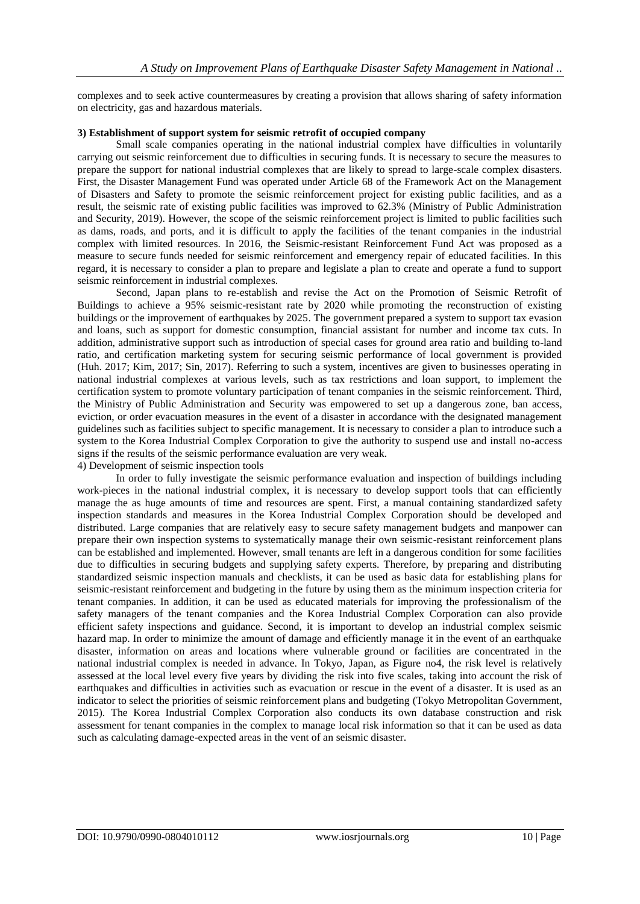complexes and to seek active countermeasures by creating a provision that allows sharing of safety information on electricity, gas and hazardous materials.

### **3) Establishment of support system for seismic retrofit of occupied company**

Small scale companies operating in the national industrial complex have difficulties in voluntarily carrying out seismic reinforcement due to difficulties in securing funds. It is necessary to secure the measures to prepare the support for national industrial complexes that are likely to spread to large-scale complex disasters. First, the Disaster Management Fund was operated under Article 68 of the Framework Act on the Management of Disasters and Safety to promote the seismic reinforcement project for existing public facilities, and as a result, the seismic rate of existing public facilities was improved to 62.3% (Ministry of Public Administration and Security, 2019). However, the scope of the seismic reinforcement project is limited to public facilities such as dams, roads, and ports, and it is difficult to apply the facilities of the tenant companies in the industrial complex with limited resources. In 2016, the Seismic-resistant Reinforcement Fund Act was proposed as a measure to secure funds needed for seismic reinforcement and emergency repair of educated facilities. In this regard, it is necessary to consider a plan to prepare and legislate a plan to create and operate a fund to support seismic reinforcement in industrial complexes.

Second, Japan plans to re-establish and revise the Act on the Promotion of Seismic Retrofit of Buildings to achieve a 95% seismic-resistant rate by 2020 while promoting the reconstruction of existing buildings or the improvement of earthquakes by 2025. The government prepared a system to support tax evasion and loans, such as support for domestic consumption, financial assistant for number and income tax cuts. In addition, administrative support such as introduction of special cases for ground area ratio and building to-land ratio, and certification marketing system for securing seismic performance of local government is provided (Huh. 2017; Kim, 2017; Sin, 2017). Referring to such a system, incentives are given to businesses operating in national industrial complexes at various levels, such as tax restrictions and loan support, to implement the certification system to promote voluntary participation of tenant companies in the seismic reinforcement. Third, the Ministry of Public Administration and Security was empowered to set up a dangerous zone, ban access, eviction, or order evacuation measures in the event of a disaster in accordance with the designated management guidelines such as facilities subject to specific management. It is necessary to consider a plan to introduce such a system to the Korea Industrial Complex Corporation to give the authority to suspend use and install no-access signs if the results of the seismic performance evaluation are very weak.

# 4) Development of seismic inspection tools

In order to fully investigate the seismic performance evaluation and inspection of buildings including work-pieces in the national industrial complex, it is necessary to develop support tools that can efficiently manage the as huge amounts of time and resources are spent. First, a manual containing standardized safety inspection standards and measures in the Korea Industrial Complex Corporation should be developed and distributed. Large companies that are relatively easy to secure safety management budgets and manpower can prepare their own inspection systems to systematically manage their own seismic-resistant reinforcement plans can be established and implemented. However, small tenants are left in a dangerous condition for some facilities due to difficulties in securing budgets and supplying safety experts. Therefore, by preparing and distributing standardized seismic inspection manuals and checklists, it can be used as basic data for establishing plans for seismic-resistant reinforcement and budgeting in the future by using them as the minimum inspection criteria for tenant companies. In addition, it can be used as educated materials for improving the professionalism of the safety managers of the tenant companies and the Korea Industrial Complex Corporation can also provide efficient safety inspections and guidance. Second, it is important to develop an industrial complex seismic hazard map. In order to minimize the amount of damage and efficiently manage it in the event of an earthquake disaster, information on areas and locations where vulnerable ground or facilities are concentrated in the national industrial complex is needed in advance. In Tokyo, Japan, as Figure no4, the risk level is relatively assessed at the local level every five years by dividing the risk into five scales, taking into account the risk of earthquakes and difficulties in activities such as evacuation or rescue in the event of a disaster. It is used as an indicator to select the priorities of seismic reinforcement plans and budgeting (Tokyo Metropolitan Government, 2015). The Korea Industrial Complex Corporation also conducts its own database construction and risk assessment for tenant companies in the complex to manage local risk information so that it can be used as data such as calculating damage-expected areas in the vent of an seismic disaster.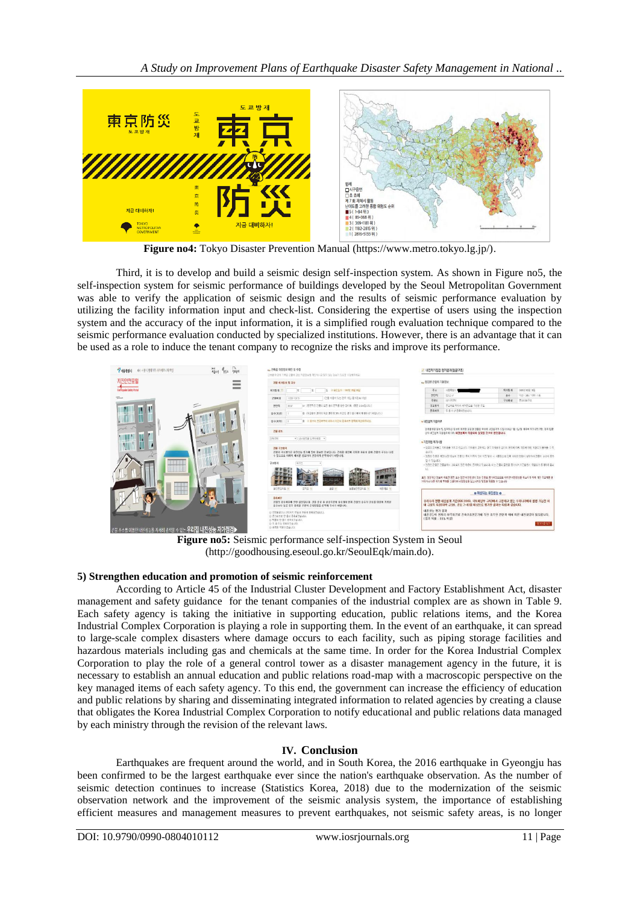

**Figure no4:** Tokyo Disaster Prevention Manual (https://www.metro.tokyo.lg.jp/).

Third, it is to develop and build a seismic design self-inspection system. As shown in Figure no5, the self-inspection system for seismic performance of buildings developed by the Seoul Metropolitan Government was able to verify the application of seismic design and the results of seismic performance evaluation by utilizing the facility information input and check-list. Considering the expertise of users using the inspection system and the accuracy of the input information, it is a simplified rough evaluation technique compared to the seismic performance evaluation conducted by specialized institutions. However, there is an advantage that it can be used as a role to induce the tenant company to recognize the risks and improve its performance.

| <b>MASSA</b><br>배이 제품서 홈페이지 사이비모느터 모집               | $\frac{1}{3628}$<br>Have Gow | - 건축물 대장정보 확인 및 수정<br>건축을 대답에 기록된 건물에 관한 기본정보를 확인하시고 있지 않는 동보가 있으면 수업에주세요.                                                                                                                                               |                                                                                                                                                                                                                               | 내진자가정검 평가결과(협골구조)                                                                                                                                                                                                                                                                                                                                                     |            |                   |  |
|-----------------------------------------------------|------------------------------|--------------------------------------------------------------------------------------------------------------------------------------------------------------------------------------------------------------------------|-------------------------------------------------------------------------------------------------------------------------------------------------------------------------------------------------------------------------------|-----------------------------------------------------------------------------------------------------------------------------------------------------------------------------------------------------------------------------------------------------------------------------------------------------------------------------------------------------------------------|------------|-------------------|--|
| 지진안전포털                                              | -<br>ــ                      | 건물 해기업자 및 규모                                                                                                                                                                                                             | 노 정경한 건물의 기본정보                                                                                                                                                                                                                |                                                                                                                                                                                                                                                                                                                                                                       |            |                   |  |
| Earthquaile Safety Ports                            | $\overline{\phantom{a}}$     | 일 - 유민들과 : 1541년 매월 때일<br>每对很矮 ?<br>19.<br>19                                                                                                                                                                            | 帯土                                                                                                                                                                                                                            | 对象需要()                                                                                                                                                                                                                                                                                                                                                                | 群 25 92 35 | 2009年度開 1854      |  |
|                                                     |                              | [ (건물 이불이 있는 경우 기업, 필수정보 이상)<br>건물이를<br>11280-15615                                                                                                                                                                      | 创作符                                                                                                                                                                                                                           | 555.2 ml                                                                                                                                                                                                                                                                                                                                                              | **         | 지상 : 3층 / 재하 : 1층 |  |
|                                                     |                              | (n) (연하적은 건물의 오른 층의 단적을 함한 같이며, (품은 3.3m입니다.)<br>219592<br>39.67                                                                                                                                                         | 平易店<br>学生製品                                                                                                                                                                                                                   | 121774<br>본크리를 백하다 바닥만으로 구성된 구조                                                                                                                                                                                                                                                                                                                                       | 子互相信       | 長江西新平区            |  |
|                                                     |                              | 各令(对位)<br>출 (유합출의 권격이 목상 면적의 20% 하만인 경우 출수에서 제외하시기 비중니다.)                                                                                                                                                                | 長島刺旱                                                                                                                                                                                                                          | 5 & ele #&sitteutil                                                                                                                                                                                                                                                                                                                                                   |            |                   |  |
|                                                     |                              | 축 X 축수의 원경여부에 대해서 하군의 증축여부 양육에 제결하주세요.<br>書奇(掲載)                                                                                                                                                                         | • 내진설계 직원이부                                                                                                                                                                                                                   |                                                                                                                                                                                                                                                                                                                                                                       |            |                   |  |
|                                                     | ٦μ.                          | 28 85                                                                                                                                                                                                                    |                                                                                                                                                                                                                               | 건축물대장 정보 및 입력하신 정보에 따르면 점검한 건물은 국내에 내진설계가 드립니까만 1월 1일/면 이후에 허가되었지만, 전계 법령<br>강의 내주실에 작용되어야 다리 내전설계가 적용되지 않았을 것으로 편단됩니다.                                                                                                                                                                                                                                               |            |                   |  |
|                                                     |                              | 99.08<br>* SNIRE@ LUNN9 *                                                                                                                                                                                                | • 지진위험 특기사항                                                                                                                                                                                                                   |                                                                                                                                                                                                                                                                                                                                                                       |            |                   |  |
| H                                                   | 73                           | 경을 구조했어<br>가정의 구조현실은 내진성능 평가를 얻어 줄모한 경보합니다. 건축물 때문에 기록된 자료를 설계 가정의 구조는 다른<br>수 있으므로 이래의 패시된 참조하며 신중하게 선택하시기 바랍니다.<br>子类颜料<br>神学生<br>###283818<br>실근은 금리로 (부)<br>조전조 부<br>22 行<br>列長相差 图                                  | <b>AUDI</b><br>St o traugh.<br>ti.                                                                                                                                                                                            | * 점검한 건축물은 지하층을 가지고 있습니다. 지하층이 존재하는 경우 지하층의 감이와 면역에 회원 지경에 대한 위원도가 물어볼 수 있<br>- 정리한 권불은 제단(승강기)상이 건물 한 쪽에 차루쳐 있어 지진 왕성 사 비틀것으로 만든 제대한 면접에 일정하며 건물인 순간이 죽지<br>- 청경청 경험은 건물설계시 경상문제 않은 하층이 증체하고 있습니다. 이는 건물만 잘하울 증가시켜 자전철부시 의원도가 증가하며 끝U<br>토언: 점검하단 정보에 따르면 평면 토는 입면 비정형성이 있는 건물로 흥가되었으므로 이러한 비정형성을 해소하기 위해 기존 구조해를<br>거하거나 다른 우차에 부패를 신설하여 비정형성을 감소시키는 방법을 적용할 수 있습니다 |            |                   |  |
|                                                     |                              | 茶煮时間<br>건물의 중축하부에 잔만 결문합니다. 건물 준공 후 상흥부분이 중축되어 현재 건물의 흡수가 건축을 태경에 기록된<br>추수보다 높은 경우 증축된 부분의 건축량협을 선택해 주시기 바랍니다.<br>○ 경찰활공이나 권도위치 전염료 현출에 종촉당견습니다.<br>© 존크의트로 한 출이 중축되었습니다.<br>@ 明显是 한 후에 증후되었습니다.<br>O F & OIL BARTIQUO. | o 예상되는 내진성능 o<br>우리나라 현행 내전설계 기준(KBC2009, 국토예영부 고시)에서 규정하고 있는 우리나라에서 발정 가능한 최<br>대 규모의 지진(대략 규모6, 진도 7~8)를 대상으로 평가한 결과는 다음과 같습니다.<br>내진선는 평가 결과<br>내진성능이 원저히 부족하므로 건축구조전문가에 의한 조속한 진단과 이에 따른 내진보감이 필요합니다.<br>(붕괴 확률 : 80% 이심) |                                                                                                                                                                                                                                                                                                                                                                       |            |                   |  |
| 건물 주소를 이용한 내진성능을 지세히 검색할 수 있는 <b>우리집 내진성능 자가점검▶</b> |                              | ◎ 美食料 開発師 資金試験                                                                                                                                                                                                           |                                                                                                                                                                                                                               |                                                                                                                                                                                                                                                                                                                                                                       |            | 82018.92          |  |

**Figure no5:** Seismic performance self-inspection System in Seoul (http://goodhousing.eseoul.go.kr/SeoulEqk/main.do).

### **5) Strengthen education and promotion of seismic reinforcement**

According to Article 45 of the Industrial Cluster Development and Factory Establishment Act, disaster management and safety guidance for the tenant companies of the industrial complex are as shown in Table 9. Each safety agency is taking the initiative in supporting education, public relations items, and the Korea Industrial Complex Corporation is playing a role in supporting them. In the event of an earthquake, it can spread to large-scale complex disasters where damage occurs to each facility, such as piping storage facilities and hazardous materials including gas and chemicals at the same time. In order for the Korea Industrial Complex Corporation to play the role of a general control tower as a disaster management agency in the future, it is necessary to establish an annual education and public relations road-map with a macroscopic perspective on the key managed items of each safety agency. To this end, the government can increase the efficiency of education and public relations by sharing and disseminating integrated information to related agencies by creating a clause that obligates the Korea Industrial Complex Corporation to notify educational and public relations data managed by each ministry through the revision of the relevant laws.

# **IV. Conclusion**

Earthquakes are frequent around the world, and in South Korea, the 2016 earthquake in Gyeongju has been confirmed to be the largest earthquake ever since the nation's earthquake observation. As the number of seismic detection continues to increase (Statistics Korea, 2018) due to the modernization of the seismic observation network and the improvement of the seismic analysis system, the importance of establishing efficient measures and management measures to prevent earthquakes, not seismic safety areas, is no longer